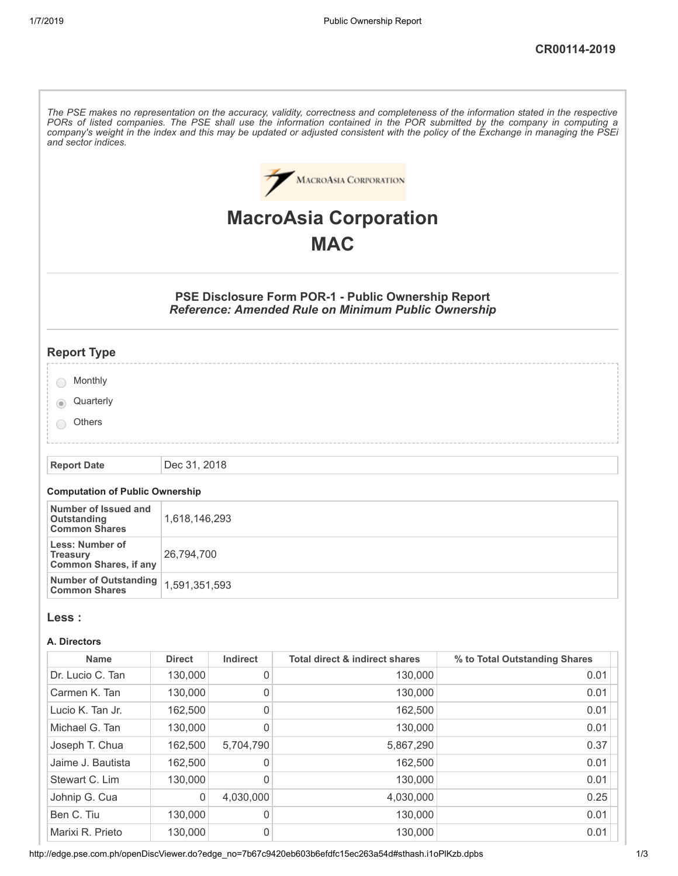| The PSE makes no representation on the accuracy, validity, correctness and completeness of the information stated in the respective<br>PORs of listed companies. The PSE shall use the information contained in the POR submitted by the company in computing a<br>company's weight in the index and this may be updated or adjusted consistent with the policy of the Exchange in managing the PSEi<br>and sector indices. |               |                     |                                                                                                                   |                               |
|-----------------------------------------------------------------------------------------------------------------------------------------------------------------------------------------------------------------------------------------------------------------------------------------------------------------------------------------------------------------------------------------------------------------------------|---------------|---------------------|-------------------------------------------------------------------------------------------------------------------|-------------------------------|
|                                                                                                                                                                                                                                                                                                                                                                                                                             |               |                     | <b>MACROASIA CORPORATION</b>                                                                                      |                               |
|                                                                                                                                                                                                                                                                                                                                                                                                                             |               |                     | <b>MacroAsia Corporation</b>                                                                                      |                               |
|                                                                                                                                                                                                                                                                                                                                                                                                                             |               |                     | <b>MAC</b>                                                                                                        |                               |
|                                                                                                                                                                                                                                                                                                                                                                                                                             |               |                     |                                                                                                                   |                               |
|                                                                                                                                                                                                                                                                                                                                                                                                                             |               |                     | PSE Disclosure Form POR-1 - Public Ownership Report<br><b>Reference: Amended Rule on Minimum Public Ownership</b> |                               |
| <b>Report Type</b>                                                                                                                                                                                                                                                                                                                                                                                                          |               |                     |                                                                                                                   |                               |
| Monthly                                                                                                                                                                                                                                                                                                                                                                                                                     |               |                     |                                                                                                                   |                               |
| Quarterly                                                                                                                                                                                                                                                                                                                                                                                                                   |               |                     |                                                                                                                   |                               |
| <b>Others</b>                                                                                                                                                                                                                                                                                                                                                                                                               |               |                     |                                                                                                                   |                               |
| <b>Report Date</b>                                                                                                                                                                                                                                                                                                                                                                                                          | Dec 31, 2018  |                     |                                                                                                                   |                               |
| <b>Computation of Public Ownership</b>                                                                                                                                                                                                                                                                                                                                                                                      |               |                     |                                                                                                                   |                               |
| Number of Issued and<br><b>Outstanding</b><br><b>Common Shares</b>                                                                                                                                                                                                                                                                                                                                                          | 1,618,146,293 |                     |                                                                                                                   |                               |
| <b>Less: Number of</b><br><b>Treasury</b><br><b>Common Shares, if any</b>                                                                                                                                                                                                                                                                                                                                                   | 26,794,700    |                     |                                                                                                                   |                               |
| <b>Number of Outstanding</b><br><b>Common Shares</b>                                                                                                                                                                                                                                                                                                                                                                        | 1,591,351,593 |                     |                                                                                                                   |                               |
| Less :                                                                                                                                                                                                                                                                                                                                                                                                                      |               |                     |                                                                                                                   |                               |
| A. Directors                                                                                                                                                                                                                                                                                                                                                                                                                |               |                     |                                                                                                                   |                               |
| <b>Name</b>                                                                                                                                                                                                                                                                                                                                                                                                                 | <b>Direct</b> | Indirect            | <b>Total direct &amp; indirect shares</b>                                                                         | % to Total Outstanding Shares |
| Dr. Lucio C. Tan                                                                                                                                                                                                                                                                                                                                                                                                            | 130,000       | $\boldsymbol{0}$    | 130,000                                                                                                           | 0.01                          |
| Carmen K. Tan                                                                                                                                                                                                                                                                                                                                                                                                               | 130,000       | $\mathsf{O}\xspace$ | 130,000                                                                                                           | 0.01                          |
| Lucio K. Tan Jr.                                                                                                                                                                                                                                                                                                                                                                                                            | 162,500       | $\mathbf 0$         | 162,500                                                                                                           | 0.01                          |
| Michael G. Tan                                                                                                                                                                                                                                                                                                                                                                                                              | 130,000       | $\mathbf 0$         | 130,000                                                                                                           | 0.01                          |
| Joseph T. Chua                                                                                                                                                                                                                                                                                                                                                                                                              | 162,500       | 5,704,790           | 5,867,290                                                                                                         | 0.37                          |
| Jaime J. Bautista                                                                                                                                                                                                                                                                                                                                                                                                           | 162,500       | 0                   | 162,500                                                                                                           | 0.01                          |
| Stewart C. Lim                                                                                                                                                                                                                                                                                                                                                                                                              | 130,000       | $\mathbf 0$         | 130,000                                                                                                           | 0.01                          |
| Johnip G. Cua                                                                                                                                                                                                                                                                                                                                                                                                               | 0             | 4,030,000           | 4,030,000                                                                                                         | 0.25                          |
| Ben C. Tiu                                                                                                                                                                                                                                                                                                                                                                                                                  | 130,000       | 0                   | 130,000                                                                                                           | 0.01                          |
| Marixi R. Prieto                                                                                                                                                                                                                                                                                                                                                                                                            | 130,000       | $\mathsf{O}\xspace$ | 130,000                                                                                                           | 0.01                          |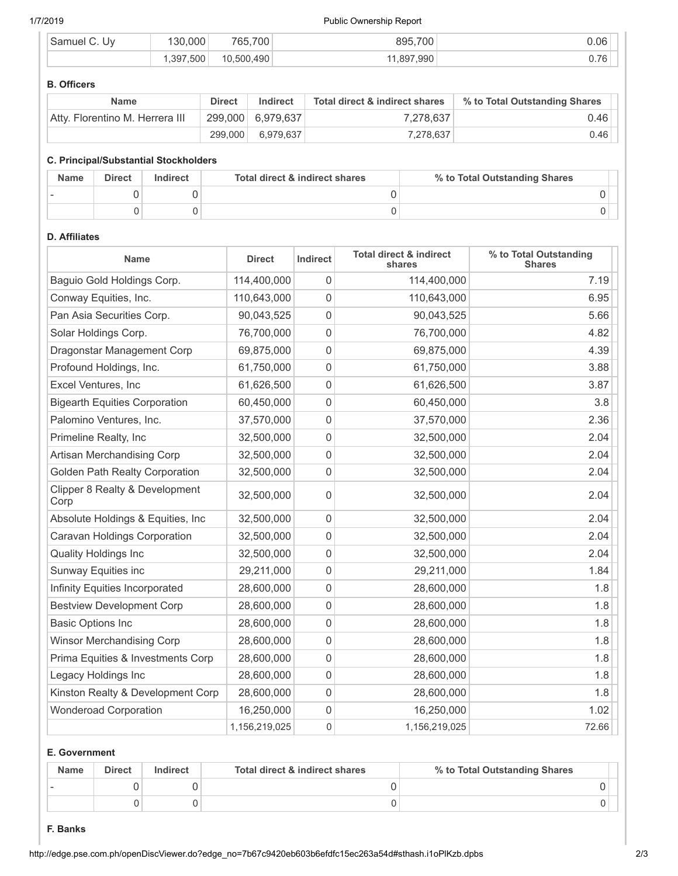#### 1/7/2019 Public Ownership Report

| iam⊔<br>١W | .000<br>30    | 700<br>765. | 895.700      | 0.06                            |
|------------|---------------|-------------|--------------|---------------------------------|
|            | 7.500<br>.397 | .500.490    | .990<br>.897 | $\overline{\phantom{a}}$<br>◡.≀ |

#### **B. Officers**

| <b>Name</b>                     | <b>Direct</b> | Indirect            | Total direct & indirect shares | % to Total Outstanding Shares |
|---------------------------------|---------------|---------------------|--------------------------------|-------------------------------|
| Atty. Florentino M. Herrera III |               | $299,000$ 6,979,637 | 7.278.637                      | 0.46                          |
|                                 | 299.000       | 6,979,637           | 7,278,637                      | 0.46                          |

#### **C. Principal/Substantial Stockholders**

| <b>Name</b> | <b>Direct</b> | Indirect | Total direct & indirect shares | % to Total Outstanding Shares |
|-------------|---------------|----------|--------------------------------|-------------------------------|
|             |               |          |                                |                               |
|             |               |          |                                |                               |

# **D. Affiliates**

| <b>Name</b>                            | <b>Direct</b> | <b>Indirect</b> | <b>Total direct &amp; indirect</b><br>shares | % to Total Outstanding<br><b>Shares</b> |
|----------------------------------------|---------------|-----------------|----------------------------------------------|-----------------------------------------|
| Baguio Gold Holdings Corp.             | 114,400,000   | 0               | 114,400,000                                  | 7.19                                    |
| Conway Equities, Inc.                  | 110,643,000   | 0               | 110,643,000                                  | 6.95                                    |
| Pan Asia Securities Corp.              | 90,043,525    | 0               | 90,043,525                                   | 5.66                                    |
| Solar Holdings Corp.                   | 76,700,000    | 0               | 76,700,000                                   | 4.82                                    |
| Dragonstar Management Corp             | 69,875,000    | 0               | 69,875,000                                   | 4.39                                    |
| Profound Holdings, Inc.                | 61,750,000    | 0               | 61,750,000                                   | 3.88                                    |
| Excel Ventures, Inc                    | 61,626,500    | $\mathbf 0$     | 61,626,500                                   | 3.87                                    |
| <b>Bigearth Equities Corporation</b>   | 60,450,000    | 0               | 60,450,000                                   | 3.8                                     |
| Palomino Ventures, Inc.                | 37,570,000    | 0               | 37,570,000                                   | 2.36                                    |
| Primeline Realty, Inc                  | 32,500,000    | 0               | 32,500,000                                   | 2.04                                    |
| Artisan Merchandising Corp             | 32,500,000    | 0               | 32,500,000                                   | 2.04                                    |
| Golden Path Realty Corporation         | 32,500,000    | 0               | 32,500,000                                   | 2.04                                    |
| Clipper 8 Realty & Development<br>Corp | 32,500,000    | 0               | 32,500,000                                   | 2.04                                    |
| Absolute Holdings & Equities, Inc.     | 32,500,000    | $\mathbf 0$     | 32,500,000                                   | 2.04                                    |
| Caravan Holdings Corporation           | 32,500,000    | $\mathbf{0}$    | 32,500,000                                   | 2.04                                    |
| <b>Quality Holdings Inc</b>            | 32,500,000    | 0               | 32,500,000                                   | 2.04                                    |
| Sunway Equities inc                    | 29,211,000    | 0               | 29,211,000                                   | 1.84                                    |
| Infinity Equities Incorporated         | 28,600,000    | 0               | 28,600,000                                   | 1.8                                     |
| <b>Bestview Development Corp</b>       | 28,600,000    | 0               | 28,600,000                                   | 1.8                                     |
| <b>Basic Options Inc</b>               | 28,600,000    | 0               | 28,600,000                                   | 1.8                                     |
| <b>Winsor Merchandising Corp</b>       | 28,600,000    | 0               | 28,600,000                                   | 1.8                                     |
| Prima Equities & Investments Corp      | 28,600,000    | 0               | 28,600,000                                   | 1.8                                     |
| Legacy Holdings Inc                    | 28,600,000    | 0               | 28,600,000                                   | 1.8                                     |
| Kinston Realty & Development Corp      | 28,600,000    | 0               | 28,600,000                                   | 1.8                                     |
| <b>Wonderoad Corporation</b>           | 16,250,000    | 0               | 16,250,000                                   | 1.02                                    |
|                                        | 1,156,219,025 | 0               | 1,156,219,025                                | 72.66                                   |

#### **E. Government**

| <b>Name</b> | <b>Direct</b> | Indirect | Total direct & indirect shares | % to Total Outstanding Shares |
|-------------|---------------|----------|--------------------------------|-------------------------------|
|             |               |          |                                |                               |
|             |               |          |                                |                               |

## **F. Banks**